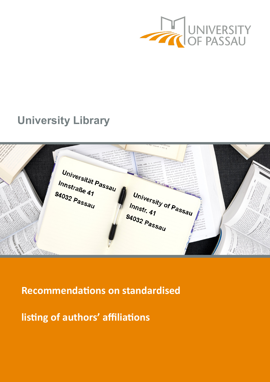

# **University Library**

Universität Passau Innstraße 41 94032 Passau University of Passau Innstr. 41 94032 Passau

**Recommendations on standardised** 

**listing of authors' affiliations**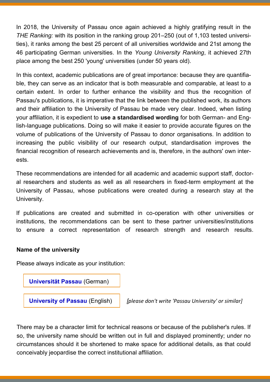In 2018, the University of Passau once again achieved a highly gratifying result in the *THE Ranking:* with its position in the ranking group 201–250 (out of 1,103 tested universities), it ranks among the best 25 percent of all universities worldwide and 21st among the 46 participating German universities. In the *Young University Ranking*, it achieved 27th place among the best 250 'young' universities (under 50 years old).

In this context, academic publications are of great importance: because they are quantifiable, they can serve as an indicator that is both measurable and comparable, at least to a certain extent. In order to further enhance the visibility and thus the recognition of Passau's publications, it is imperative that the link between the published work, its authors and their affiliation to the University of Passau be made very clear. Indeed, when listing your affiliation, it is expedient to **use a standardised wording** for both German- and English-language publications. Doing so will make it easier to provide accurate figures on the volume of publications of the University of Passau to donor organisations. In addition to increasing the public visibility of our research output, standardisation improves the financial recognition of research achievements and is, therefore, in the authors' own interests.

These recommendations are intended for all academic and academic support staff, doctoral researchers and students as well as all researchers in fixed-term employment at the University of Passau, whose publications were created during a research stay at the University.

If publications are created and submitted in co-operation with other universities or institutions, the recommendations can be sent to these partner universities/institutions to ensure a correct representation of research strength and research results.

#### **Name of the university**

Please always indicate as your institution:



**University of Passau** (English) *[please don't write 'Passau University' or similar]*

There may be a character limit for technical reasons or because of the publisher's rules. If so, the university name should be written out in full and displayed prominently; under no circumstances should it be shortened to make space for additional details, as that could conceivably jeopardise the correct institutional affiliation.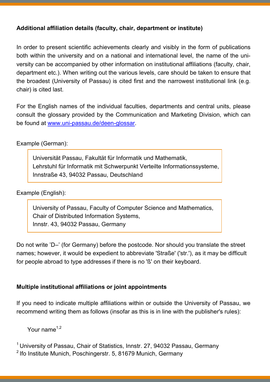# **Additional affiliation details (faculty, chair, department or institute)**

In order to present scientific achievements clearly and visibly in the form of publications both within the university and on a national and international level, the name of the university can be accompanied by other information on institutional affiliations (faculty, chair, department etc.). When writing out the various levels, care should be taken to ensure that the broadest (University of Passau) is cited first and the narrowest institutional link (e.g. chair) is cited last.

For the English names of the individual faculties, departments and central units, please consult the glossary provided by the Communication and Marketing Division, which can be found at www.uni-[passau.de/deen](http://www.uni-passau.de/deen-glossar)-glossar.

Example (German):

Universität Passau, Fakultät für Informatik und Mathematik, Lehrstuhl für Informatik mit Schwerpunkt Verteilte Informationssysteme, Innstraße 43, 94032 Passau, Deutschland

Example (English):

University of Passau, Faculty of Computer Science and Mathematics, Chair of Distributed Information Systems, Innstr. 43, 94032 Passau, Germany

Do not write 'D–' (for Germany) before the postcode. Nor should you translate the street names; however, it would be expedient to abbreviate 'Straße' ('str.'), as it may be difficult for people abroad to type addresses if there is no 'ß' on their keyboard.

## **Multiple institutional affiliations or joint appointments**

If you need to indicate multiple affiliations within or outside the University of Passau, we recommend writing them as follows (insofar as this is in line with the publisher's rules):

Your name $1,2$ 

<sup>1</sup> University of Passau, Chair of Statistics, Innstr. 27, 94032 Passau, Germany

<sup>2</sup> Ifo Institute Munich, Poschingerstr. 5, 81679 Munich, Germany